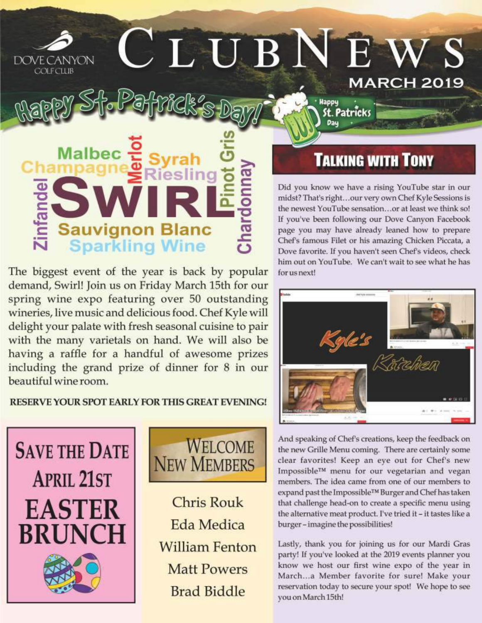## CLUBNEW DOVE CANYON **COLECUIE MARCH 2019**

**Malbec Sauvignon Bland<br>Sparkling Wine** 

The biggest event of the year is back by popular demand, Swirl! Join us on Friday March 15th for our spring wine expo featuring over 50 outstanding wineries, live music and delicious food. Chef Kyle will delight your palate with fresh seasonal cuisine to pair with the many varietals on hand. We will also be having a raffle for a handful of awesome prizes including the grand prize of dinner for 8 in our beautiful wine room.

RESERVE YOUR SPOT EARLY FOR THIS GREAT EVENING!





**Chris Rouk** Eda Medica **William Fenton Matt Powers Brad Biddle** 

# **TALKING WITH TONY**

**Happy** 

St. Patrīcks

Did you know we have a rising YouTube star in our midst? That's right...our very own Chef Kyle Sessions is the newest YouTube sensation...or at least we think so! If you've been following our Dove Canyon Facebook page you may have already leaned how to prepare Chef's famous Filet or his amazing Chicken Piccata, a Dove favorite. If you haven't seen Chef's videos, check him out on YouTube. We can't wait to see what he has for us next!



And speaking of Chef's creations, keep the feedback on the new Grille Menu coming. There are certainly some clear favorites! Keep an eye out for Chef's new Impossible™ menu for our vegetarian and vegan members. The idea came from one of our members to expand past the Impossible™ Burger and Chef has taken that challenge head-on to create a specific menu using the alternative meat product. I've tried it - it tastes like a burger-imagine the possibilities!

Lastly, thank you for joining us for our Mardi Gras party! If you've looked at the 2019 events planner you know we host our first wine expo of the year in March...a Member favorite for sure! Make your reservation today to secure your spot! We hope to see you on March 15th!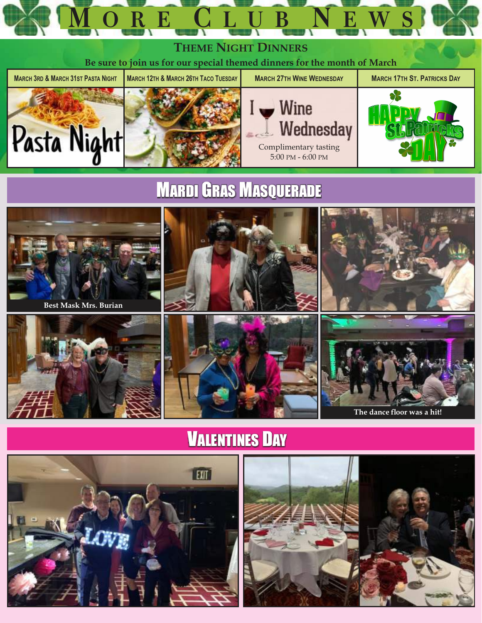



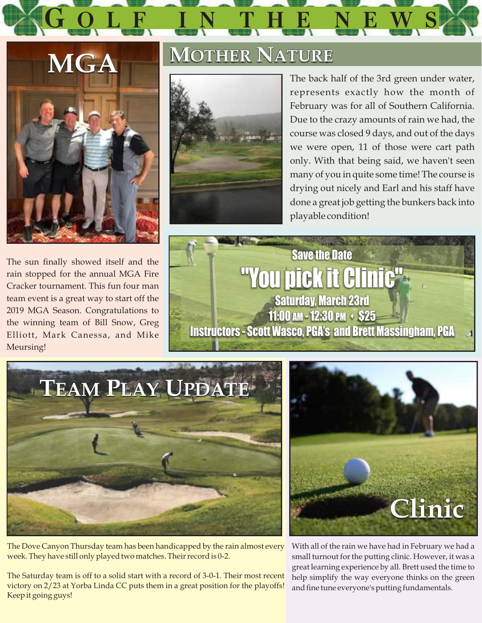



The sun finally showed itself and the rain stopped for the annual MGA Fire Cracker tournament. This fun four man team event is a great way to start off the 2019 MGA Season. Congratulations to the winning team of Bill Snow, Greg Elliott, Mark Canessa, and Mike Meursing!

# **MOTHER NATURE**



The back half of the 3rd green under water, represents exactly how the month of February was for all of Southern California. Due to the crazy amounts of rain we had, the course was closed 9 days, and out of the days we were open, 11 of those were cart path only. With that being said, we haven't seen many of you in quite some time! The course is drying out nicely and Earl and his staff have done a great job getting the bunkers back into playable condition!





The Dove Canyon Thursday team has been handicapped by the rain almost every week. They have still only played two matches. Their record is 0-2.

The Saturday team is off to a solid start with a record of 3-0-1. Their most recent victory on 2/23 at Yorba Linda CC puts them in a great position for the playoffs! Keep it going guys!



With all of the rain we have had in February we had a small turnout for the putting clinic. However, it was a great learning experience by all. Brett used the time to help simplify the way everyone thinks on the green and fine tune everyone's putting fundamentals.